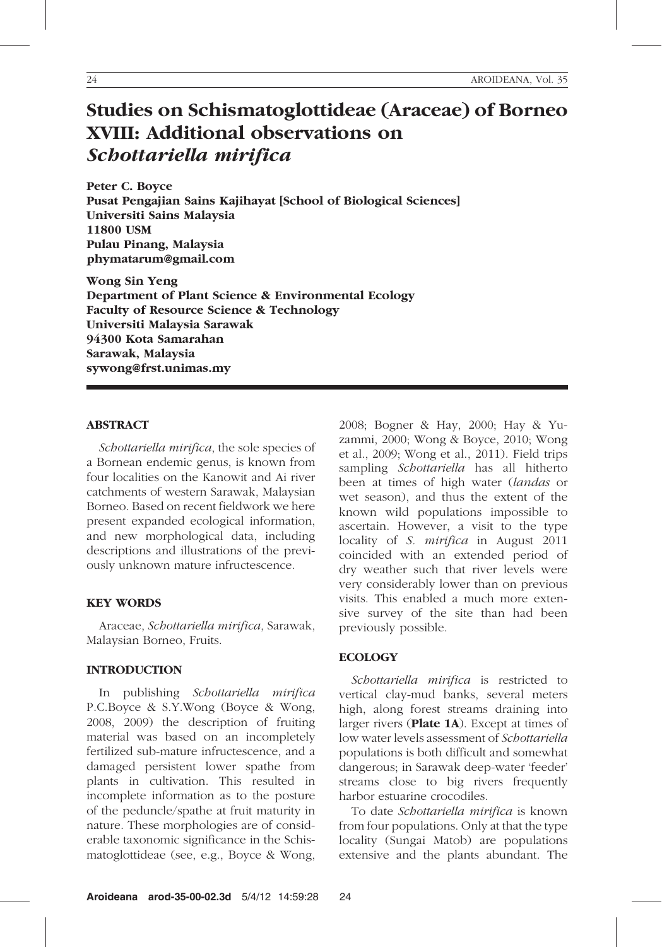# Studies on Schismatoglottideae (Araceae) of Borneo XVIII: Additional observations on Schottariella mirifica

Peter C. Boyce Pusat Pengajian Sains Kajihayat [School of Biological Sciences] Universiti Sains Malaysia 11800 USM Pulau Pinang, Malaysia phymatarum@gmail.com

Wong Sin Yeng Department of Plant Science & Environmental Ecology Faculty of Resource Science & Technology Universiti Malaysia Sarawak 94300 Kota Samarahan Sarawak, Malaysia sywong@frst.unimas.my

#### ABSTRACT

Schottariella mirifica, the sole species of a Bornean endemic genus, is known from four localities on the Kanowit and Ai river catchments of western Sarawak, Malaysian Borneo. Based on recent fieldwork we here present expanded ecological information, and new morphological data, including descriptions and illustrations of the previously unknown mature infructescence.

#### KEY WORDS

Araceae, Schottariella mirifica, Sarawak, Malaysian Borneo, Fruits.

## INTRODUCTION

In publishing Schottariella mirifica P.C.Boyce & S.Y.Wong (Boyce & Wong, 2008, 2009) the description of fruiting material was based on an incompletely fertilized sub-mature infructescence, and a damaged persistent lower spathe from plants in cultivation. This resulted in incomplete information as to the posture of the peduncle/spathe at fruit maturity in nature. These morphologies are of considerable taxonomic significance in the Schismatoglottideae (see, e.g., Boyce & Wong,

2008; Bogner & Hay, 2000; Hay & Yuzammi, 2000; Wong & Boyce, 2010; Wong et al., 2009; Wong et al., 2011). Field trips sampling Schottariella has all hitherto been at times of high water (landas or wet season), and thus the extent of the known wild populations impossible to ascertain. However, a visit to the type locality of S. mirifica in August 2011 coincided with an extended period of dry weather such that river levels were very considerably lower than on previous visits. This enabled a much more extensive survey of the site than had been previously possible.

#### **ECOLOGY**

Schottariella mirifica is restricted to vertical clay-mud banks, several meters high, along forest streams draining into larger rivers  $(Place 1A)$ . Except at times of low water levels assessment of Schottariella populations is both difficult and somewhat dangerous; in Sarawak deep-water 'feeder' streams close to big rivers frequently harbor estuarine crocodiles.

To date Schottariella mirifica is known from four populations. Only at that the type locality (Sungai Matob) are populations extensive and the plants abundant. The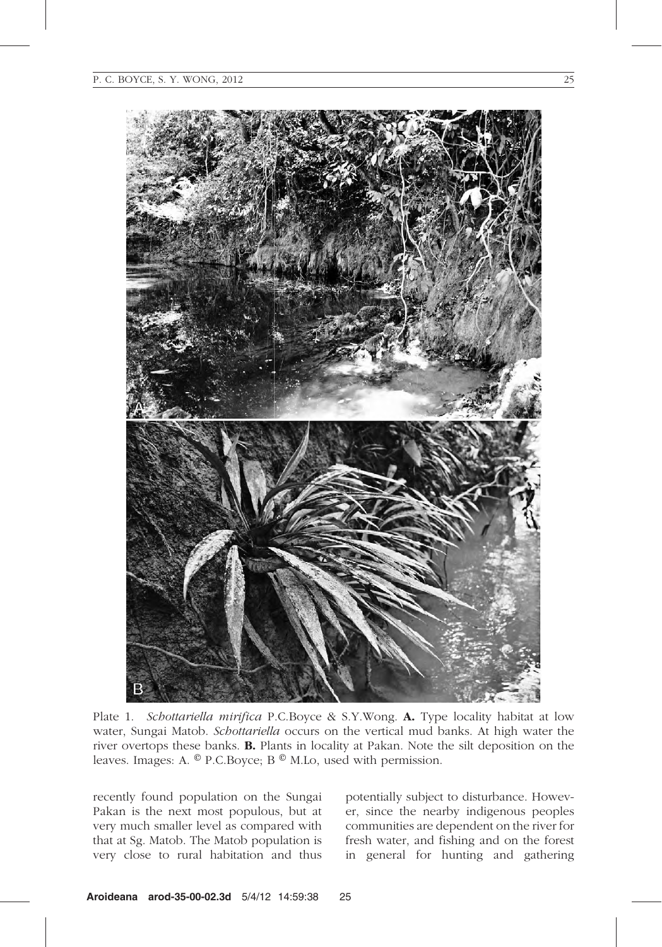

Plate 1. Schottariella mirifica P.C.Boyce & S.Y.Wong. A. Type locality habitat at low water, Sungai Matob. Schottariella occurs on the vertical mud banks. At high water the river overtops these banks. B. Plants in locality at Pakan. Note the silt deposition on the leaves. Images: A. © P.C.Boyce; B © M.Lo, used with permission.

recently found population on the Sungai Pakan is the next most populous, but at very much smaller level as compared with that at Sg. Matob. The Matob population is very close to rural habitation and thus

potentially subject to disturbance. However, since the nearby indigenous peoples communities are dependent on the river for fresh water, and fishing and on the forest in general for hunting and gathering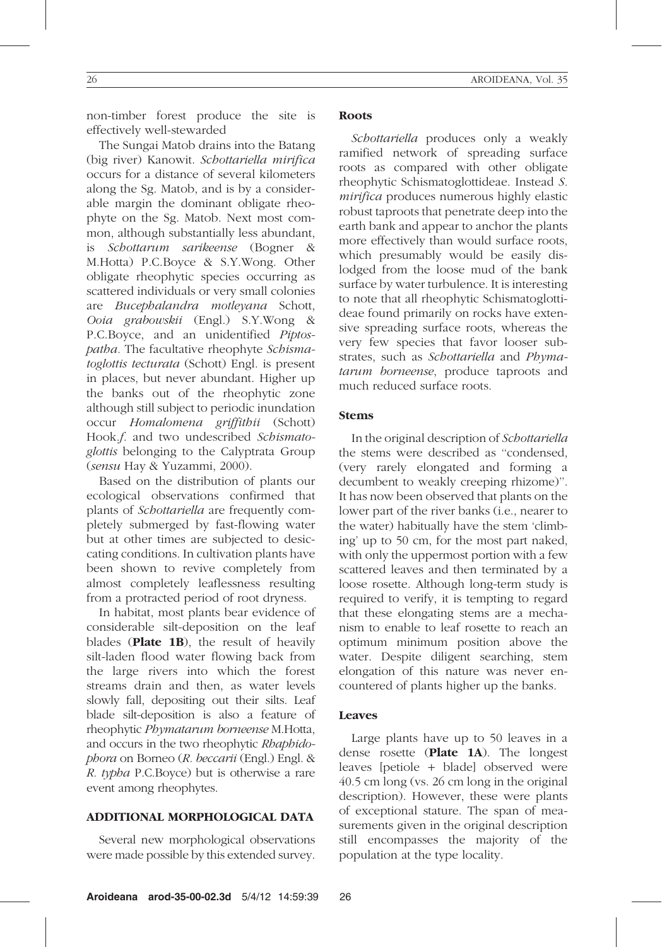non-timber forest produce the site is effectively well-stewarded

The Sungai Matob drains into the Batang (big river) Kanowit. Schottariella mirifica occurs for a distance of several kilometers along the Sg. Matob, and is by a considerable margin the dominant obligate rheophyte on the Sg. Matob. Next most common, although substantially less abundant, is Schottarum sarikeense (Bogner & M.Hotta) P.C.Boyce & S.Y.Wong. Other obligate rheophytic species occurring as scattered individuals or very small colonies are Bucephalandra motleyana Schott, Ooia grabowskii (Engl.) S.Y.Wong & P.C.Boyce, and an unidentified Piptospatha. The facultative rheophyte Schismatoglottis tecturata (Schott) Engl. is present in places, but never abundant. Higher up the banks out of the rheophytic zone although still subject to periodic inundation occur Homalomena griffithii (Schott) Hook.f. and two undescribed Schismatoglottis belonging to the Calyptrata Group (sensu Hay & Yuzammi, 2000).

Based on the distribution of plants our ecological observations confirmed that plants of Schottariella are frequently completely submerged by fast-flowing water but at other times are subjected to desiccating conditions. In cultivation plants have been shown to revive completely from almost completely leaflessness resulting from a protracted period of root dryness.

In habitat, most plants bear evidence of considerable silt-deposition on the leaf blades (Plate 1B), the result of heavily silt-laden flood water flowing back from the large rivers into which the forest streams drain and then, as water levels slowly fall, depositing out their silts. Leaf blade silt-deposition is also a feature of rheophytic Phymatarum borneense M.Hotta, and occurs in the two rheophytic Rhaphidophora on Borneo (R. beccarii (Engl.) Engl. & R. typha P.C.Boyce) but is otherwise a rare event among rheophytes.

# ADDITIONAL MORPHOLOGICAL DATA

Several new morphological observations were made possible by this extended survey.

## Roots

Schottariella produces only a weakly ramified network of spreading surface roots as compared with other obligate rheophytic Schismatoglottideae. Instead S. mirifica produces numerous highly elastic robust taproots that penetrate deep into the earth bank and appear to anchor the plants more effectively than would surface roots, which presumably would be easily dislodged from the loose mud of the bank surface by water turbulence. It is interesting to note that all rheophytic Schismatoglottideae found primarily on rocks have extensive spreading surface roots, whereas the very few species that favor looser substrates, such as Schottariella and Phymatarum borneense, produce taproots and much reduced surface roots.

# Stems

In the original description of Schottariella the stems were described as ''condensed, (very rarely elongated and forming a decumbent to weakly creeping rhizome)''. It has now been observed that plants on the lower part of the river banks (i.e., nearer to the water) habitually have the stem 'climbing' up to 50 cm, for the most part naked, with only the uppermost portion with a few scattered leaves and then terminated by a loose rosette. Although long-term study is required to verify, it is tempting to regard that these elongating stems are a mechanism to enable to leaf rosette to reach an optimum minimum position above the water. Despite diligent searching, stem elongation of this nature was never encountered of plants higher up the banks.

# Leaves

Large plants have up to 50 leaves in a dense rosette (Plate 1A). The longest leaves [petiole + blade] observed were 40.5 cm long (vs. 26 cm long in the original description). However, these were plants of exceptional stature. The span of measurements given in the original description still encompasses the majority of the population at the type locality.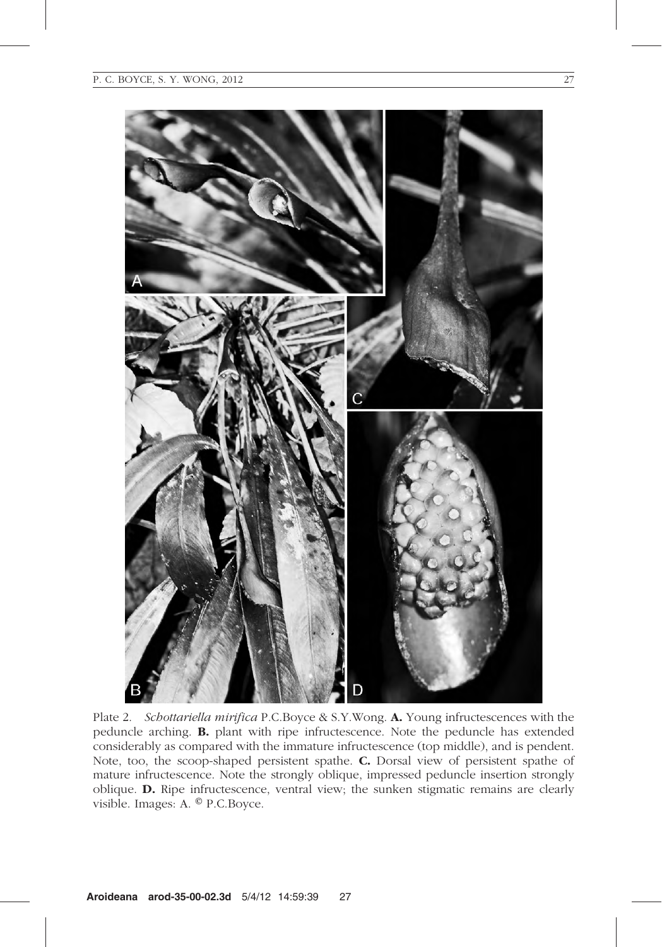

Plate 2. Schottariella mirifica P.C.Boyce & S.Y.Wong. A. Young infructescences with the peduncle arching. B. plant with ripe infructescence. Note the peduncle has extended considerably as compared with the immature infructescence (top middle), and is pendent. Note, too, the scoop-shaped persistent spathe. C. Dorsal view of persistent spathe of mature infructescence. Note the strongly oblique, impressed peduncle insertion strongly oblique. D. Ripe infructescence, ventral view; the sunken stigmatic remains are clearly visible. Images: A. ® P.C.Boyce.